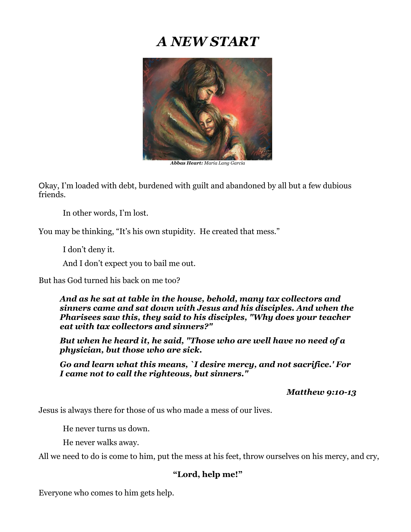## *A NEW START*



*Abbas Heart: Maria Lang Garcia*

Okay, I'm loaded with debt, burdened with guilt and abandoned by all but a few dubious friends.

In other words, I'm lost.

You may be thinking, "It's his own stupidity. He created that mess."

I don't deny it.

And I don't expect you to bail me out.

But has God turned his back on me too?

*And as he sat at table in the house, behold, many tax collectors and sinners came and sat down with Jesus and his disciples. And when the Pharisees saw this, they said to his disciples, "Why does your teacher eat with tax collectors and sinners?"*

*But when he heard it, he said, "Those who are well have no need of a physician, but those who are sick.*

*Go and learn what this means, `I desire mercy, and not sacrifice.' For I came not to call the righteous, but sinners."*

 *Matthew 9:10-13*

Jesus is always there for those of us who made a mess of our lives.

He never turns us down.

He never walks away.

All we need to do is come to him, put the mess at his feet, throw ourselves on his mercy, and cry,

## **"Lord, help me!"**

Everyone who comes to him gets help.